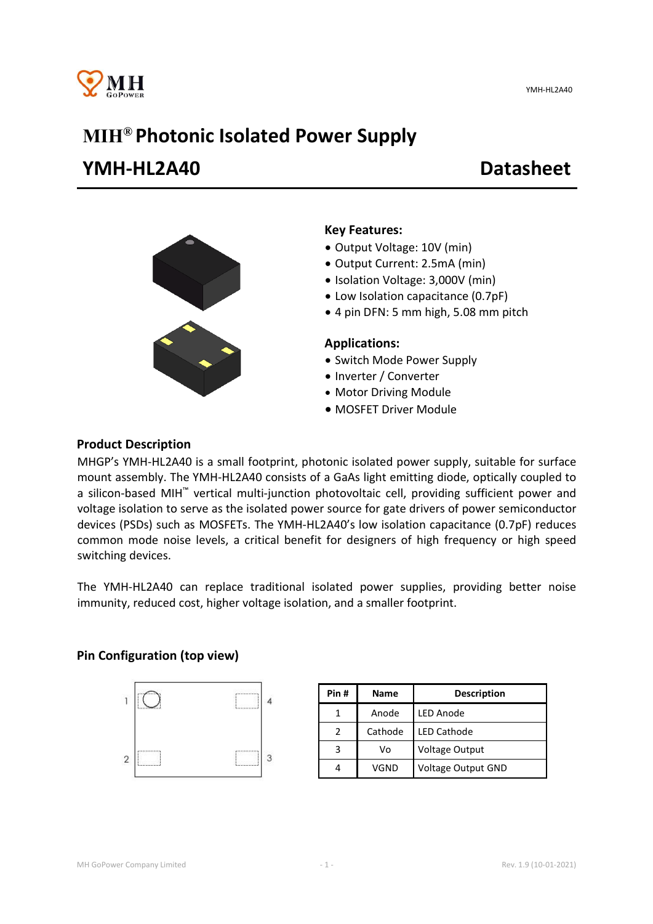

# MIH® Photonic Isolated Power Supply YMH-HL2A40 Datasheet



### Key Features:

- Output Voltage: 10V (min)
- Output Current: 2.5mA (min)
- Isolation Voltage: 3,000V (min)
- Low Isolation capacitance (0.7pF)
- 4 pin DFN: 5 mm high, 5.08 mm pitch

#### Applications:

- Switch Mode Power Supply
- Inverter / Converter
- Motor Driving Module
- MOSFET Driver Module

#### Product Description

MHGP's YMH-HL2A40 is a small footprint, photonic isolated power supply, suitable for surface mount assembly. The YMH-HL2A40 consists of a GaAs light emitting diode, optically coupled to a silicon-based MIH™ vertical multi-junction photovoltaic cell, providing sufficient power and voltage isolation to serve as the isolated power source for gate drivers of power semiconductor devices (PSDs) such as MOSFETs. The YMH-HL2A40's low isolation capacitance (0.7pF) reduces common mode noise levels, a critical benefit for designers of high frequency or high speed switching devices.

The YMH-HL2A40 can replace traditional isolated power supplies, providing better noise immunity, reduced cost, higher voltage isolation, and a smaller footprint.

### Pin Configuration (top view)



| Pin# | Name    | <b>Description</b>        |  |  |
|------|---------|---------------------------|--|--|
|      | Anode   | <b>LED Anode</b>          |  |  |
| 2    | Cathode | <b>LED Cathode</b>        |  |  |
| 3    | V٥      | <b>Voltage Output</b>     |  |  |
|      | VGND    | <b>Voltage Output GND</b> |  |  |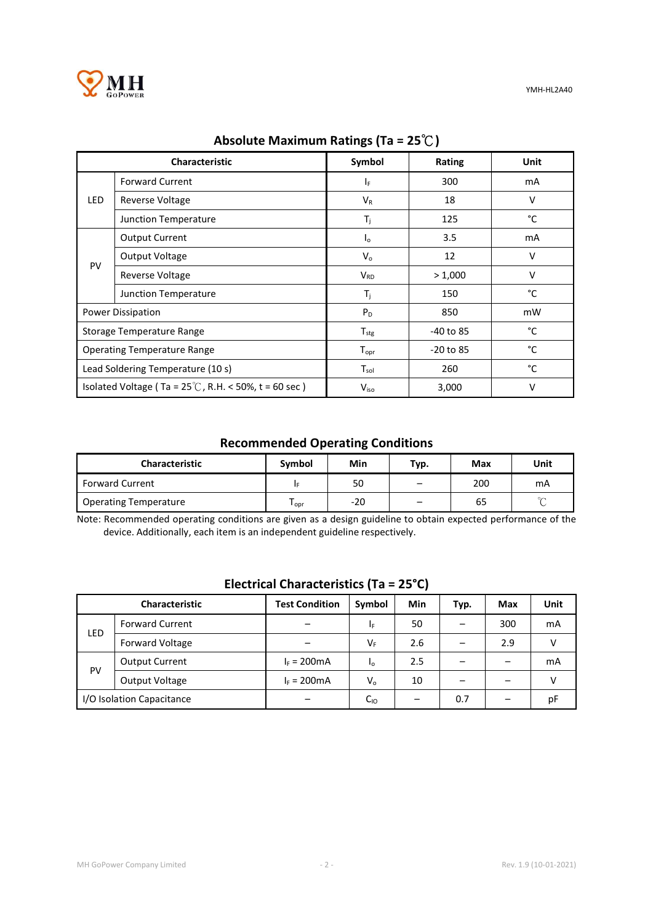

YMH-HL2A40

|                                                                | Characteristic         | Symbol                | Rating      | Unit   |  |  |
|----------------------------------------------------------------|------------------------|-----------------------|-------------|--------|--|--|
| <b>LED</b>                                                     | <b>Forward Current</b> | ΙF.                   | 300         | mA     |  |  |
|                                                                | <b>Reverse Voltage</b> | $V_{R}$               | 18          | $\vee$ |  |  |
|                                                                | Junction Temperature   | $T_{\rm i}$           | 125         | °C     |  |  |
| PV                                                             | <b>Output Current</b>  | $I_{\rm o}$           | 3.5         | mA     |  |  |
|                                                                | Output Voltage         | $V_{o}$               | 12          | $\vee$ |  |  |
|                                                                | Reverse Voltage        | <b>V<sub>RD</sub></b> | > 1,000     | $\vee$ |  |  |
|                                                                | Junction Temperature   | $T_{\rm i}$           | 150         | °C     |  |  |
| <b>Power Dissipation</b>                                       |                        | $P_D$                 | 850         | mW     |  |  |
| Storage Temperature Range                                      |                        | $T_{\text{stg}}$      | -40 to 85   | °C     |  |  |
| <b>Operating Temperature Range</b>                             |                        | $T_{\text{opr}}$      | $-20$ to 85 | °C     |  |  |
| Lead Soldering Temperature (10 s)                              |                        | $T_{sol}$             | 260         | °C     |  |  |
| Isolated Voltage (Ta = $25^{\circ}$ C, R.H. < 50%, t = 60 sec) |                        | $V_{iso}$             | 3,000       | ν      |  |  |

## Absolute Maximum Ratings (Ta = 25℃)

# Recommended Operating Conditions

| <b>Characteristic</b>        | Symbol | Min   | тур.                     | Max | Unit   |
|------------------------------|--------|-------|--------------------------|-----|--------|
| <b>Forward Current</b>       |        | 50    | -                        | 200 | mA     |
| <b>Operating Temperature</b> | opr    | $-20$ | $\overline{\phantom{0}}$ | 65  | $\sim$ |

Note: Recommended operating conditions are given as a design guideline to obtain expected performance of the device. Additionally, each item is an independent guideline respectively.

# Electrical Characteristics (Ta = 25°C)

| Characteristic            |                        | <b>Test Condition</b> | Symbol   | Min | Typ. | Max | <b>Unit</b> |
|---------------------------|------------------------|-----------------------|----------|-----|------|-----|-------------|
| LED                       | <b>Forward Current</b> | -                     | ΙF       | 50  |      | 300 | mA          |
|                           | <b>Forward Voltage</b> | -                     | $V_F$    | 2.6 |      | 2.9 |             |
| PV                        | <b>Output Current</b>  | $I_F = 200 \text{mA}$ | $I_0$    | 2.5 |      |     | mA          |
|                           | Output Voltage         | $I_F = 200 \text{mA}$ | $V_{o}$  | 10  |      |     | V           |
| I/O Isolation Capacitance |                        |                       | $C_{10}$ |     | 0.7  |     | рF          |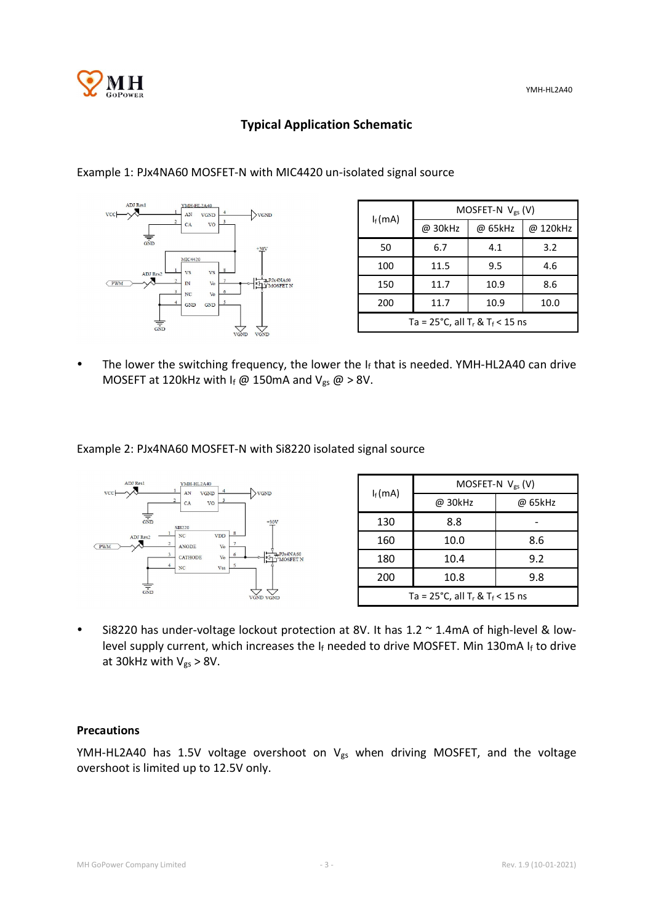

# Typical Application Schematic



|                                                                  | MOSFET-N $V_{gs}$ (V) |         |          |  |  |
|------------------------------------------------------------------|-----------------------|---------|----------|--|--|
| $I_f(mA)$                                                        | @ 30kHz               | @ 65kHz | @ 120kHz |  |  |
| 50                                                               | 6.7                   | 4.1     | 3.2      |  |  |
| 100                                                              | 11.5                  | 9.5     | 4.6      |  |  |
| 150                                                              | 11.7                  | 10.9    | 8.6      |  |  |
| 200                                                              | 11.7                  | 10.9    | 10.0     |  |  |
| Ta = $25^{\circ}$ C, all T <sub>r</sub> & T <sub>f</sub> < 15 ns |                       |         |          |  |  |

• The lower the switching frequency, the lower the If that is needed. YMH-HL2A40 can drive

Example 2: PJx4NA60 MOSFET-N with Si8220 isolated signal source

MOSEFT at 120kHz with If @ 150mA and  $V_{gs}$  @ > 8V.



 Si8220 has under-voltage lockout protection at 8V. It has 1.2 ~ 1.4mA of high-level & lowlevel supply current, which increases the If needed to drive MOSFET. Min 130mA If to drive at 30kHz with  $V_{gs} > 8V$ .

#### Precautions

YMH-HL2A40 has 1.5V voltage overshoot on  $V_{gs}$  when driving MOSFET, and the voltage overshoot is limited up to 12.5V only.

# Example 1: PJx4NA60 MOSFET-N with MIC4420 un-isolated signal source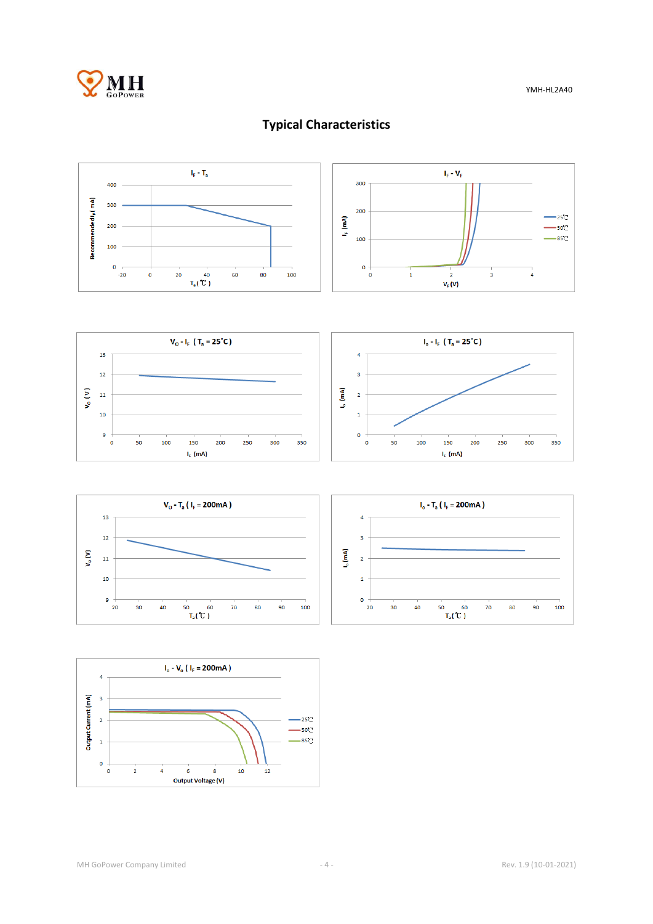

# Typical Characteristics